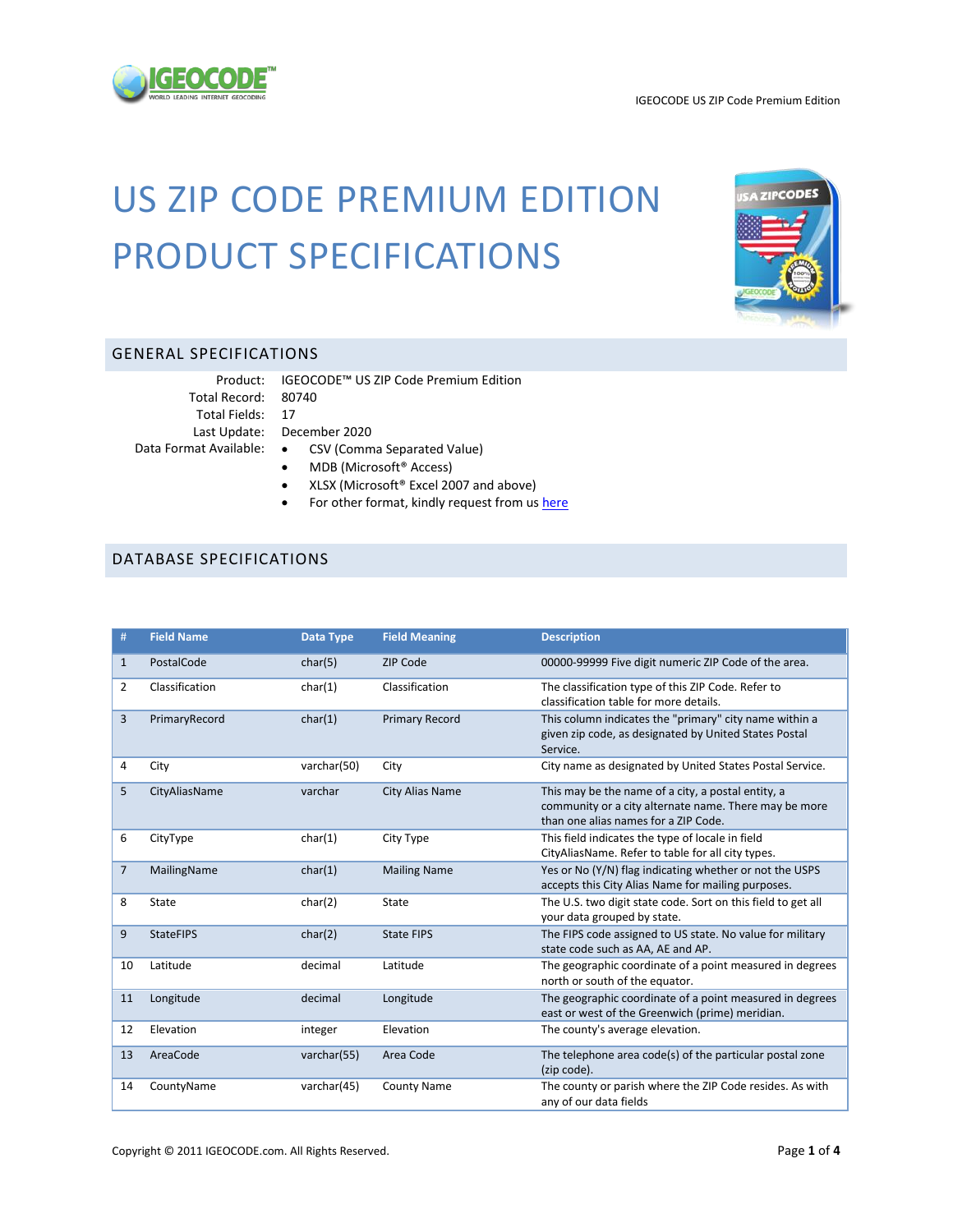

# US ZIP CODE PREMIUM EDITION PRODUCT SPECIFICATIONS



# GENERAL SPECIFICATIONS

Product: IGEOCODE™ US ZIP Code Premium Edition Total Record: 80740 Total Fields: 17 Last Update: December 2020 Data Format Available: • CSV (Comma Separated Value)

- MDB (Microsoft® Access)
- XLSX (Microsoft® Excel 2007 and above)
- For other format, kindly request from u[s here](http://www.igeocode.com/site/contact/purpose/customData)

# DATABASE SPECIFICATIONS

| #              | <b>Field Name</b> | Data Type   | <b>Field Meaning</b>  | <b>Description</b>                                                                                                                                  |
|----------------|-------------------|-------------|-----------------------|-----------------------------------------------------------------------------------------------------------------------------------------------------|
| $\mathbf{1}$   | PostalCode        | char(5)     | <b>ZIP Code</b>       | 00000-99999 Five digit numeric ZIP Code of the area.                                                                                                |
| 2              | Classification    | char(1)     | Classification        | The classification type of this ZIP Code. Refer to<br>classification table for more details.                                                        |
| $\overline{3}$ | PrimaryRecord     | char(1)     | <b>Primary Record</b> | This column indicates the "primary" city name within a<br>given zip code, as designated by United States Postal<br>Service.                         |
| 4              | City              | varchar(50) | City                  | City name as designated by United States Postal Service.                                                                                            |
| 5              | CityAliasName     | varchar     | City Alias Name       | This may be the name of a city, a postal entity, a<br>community or a city alternate name. There may be more<br>than one alias names for a ZIP Code. |
| 6              | CityType          | char(1)     | City Type             | This field indicates the type of locale in field<br>CityAliasName. Refer to table for all city types.                                               |
| $\overline{7}$ | MailingName       | char(1)     | <b>Mailing Name</b>   | Yes or No (Y/N) flag indicating whether or not the USPS<br>accepts this City Alias Name for mailing purposes.                                       |
| 8              | <b>State</b>      | char(2)     | <b>State</b>          | The U.S. two digit state code. Sort on this field to get all<br>your data grouped by state.                                                         |
| 9              | <b>StateFIPS</b>  | char(2)     | <b>State FIPS</b>     | The FIPS code assigned to US state. No value for military<br>state code such as AA, AE and AP.                                                      |
| 10             | Latitude          | decimal     | Latitude              | The geographic coordinate of a point measured in degrees<br>north or south of the equator.                                                          |
| 11             | Longitude         | decimal     | Longitude             | The geographic coordinate of a point measured in degrees<br>east or west of the Greenwich (prime) meridian.                                         |
| 12             | Elevation         | integer     | Elevation             | The county's average elevation.                                                                                                                     |
| 13             | AreaCode          | varchar(55) | Area Code             | The telephone area code(s) of the particular postal zone<br>(zip code).                                                                             |
| 14             | CountyName        | varchar(45) | <b>County Name</b>    | The county or parish where the ZIP Code resides. As with<br>any of our data fields                                                                  |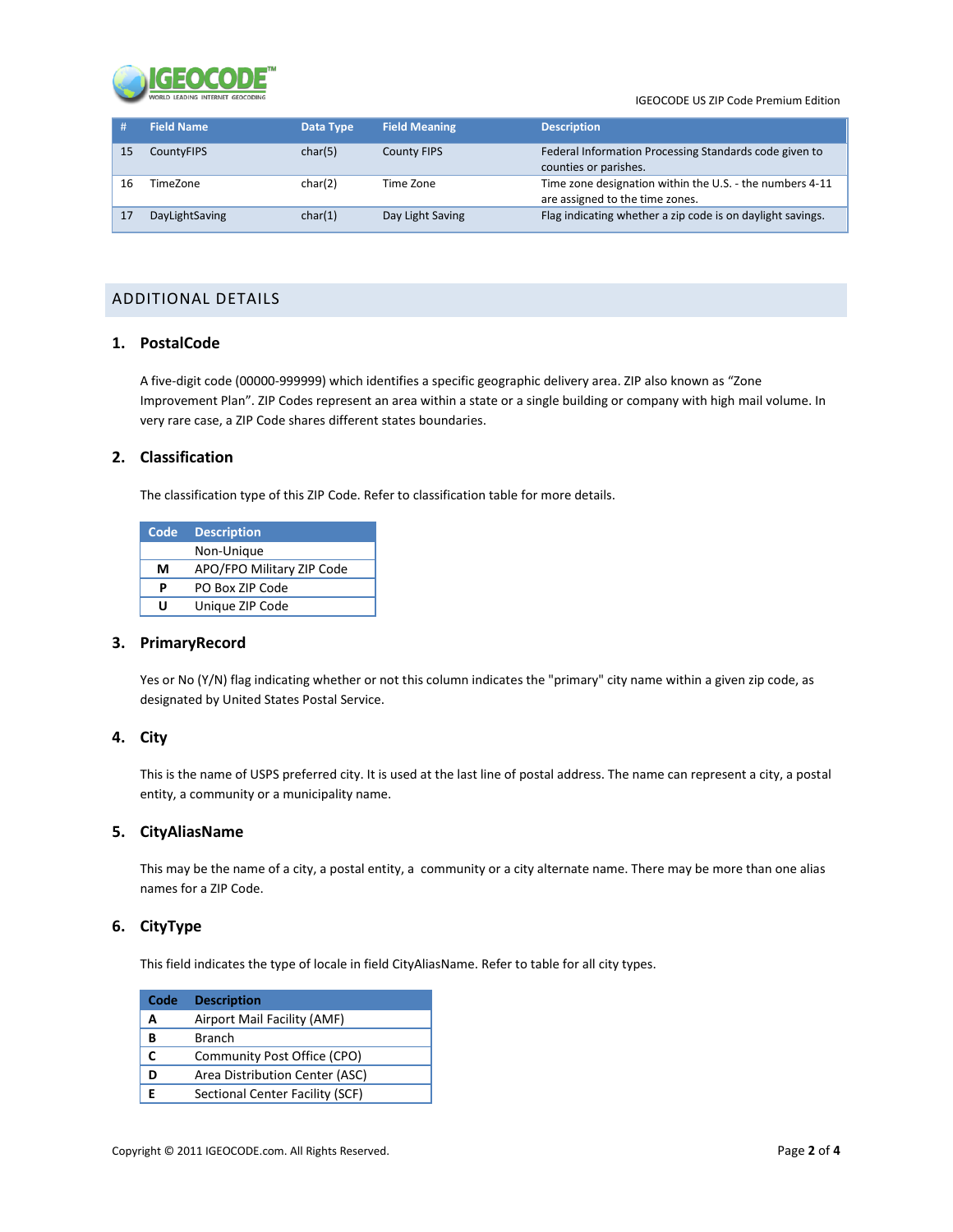

| <b>Field Name</b> | Data Type | <b>Field Meaning</b> | <b>Description</b>                                                                          |
|-------------------|-----------|----------------------|---------------------------------------------------------------------------------------------|
| <b>CountyFIPS</b> | char(5)   | <b>County FIPS</b>   | Federal Information Processing Standards code given to<br>counties or parishes.             |
| Time7one          | char(2)   | Time Zone            | Time zone designation within the U.S. - the numbers 4-11<br>are assigned to the time zones. |
| DayLightSaving    | char(1)   | Day Light Saving     | Flag indicating whether a zip code is on daylight savings.                                  |

# ADDITIONAL DETAILS

## **1. PostalCode**

A five-digit code (00000-999999) which identifies a specific geographic delivery area. ZIP also known as "Zone Improvement Plan". ZIP Codes represent an area within a state or a single building or company with high mail volume. In very rare case, a ZIP Code shares different states boundaries.

#### **2. Classification**

The classification type of this ZIP Code. Refer to classification table for more details.

| Code                 | <b>Description</b>        |  |
|----------------------|---------------------------|--|
|                      | Non-Unique                |  |
| м                    | APO/FPO Military ZIP Code |  |
| P                    | PO Box ZIP Code           |  |
| Unique ZIP Code<br>п |                           |  |

## **3. PrimaryRecord**

Yes or No (Y/N) flag indicating whether or not this column indicates the "primary" city name within a given zip code, as designated by United States Postal Service.

## **4. City**

This is the name of USPS preferred city. It is used at the last line of postal address. The name can represent a city, a postal entity, a community or a municipality name.

#### **5. CityAliasName**

This may be the name of a city, a postal entity, a community or a city alternate name. There may be more than one alias names for a ZIP Code.

#### **6. CityType**

This field indicates the type of locale in field CityAliasName. Refer to table for all city types.

| Code                        | <b>Description</b>              |  |
|-----------------------------|---------------------------------|--|
| А                           | Airport Mail Facility (AMF)     |  |
| В                           | <b>Branch</b>                   |  |
| Community Post Office (CPO) |                                 |  |
| D                           | Area Distribution Center (ASC)  |  |
|                             | Sectional Center Facility (SCF) |  |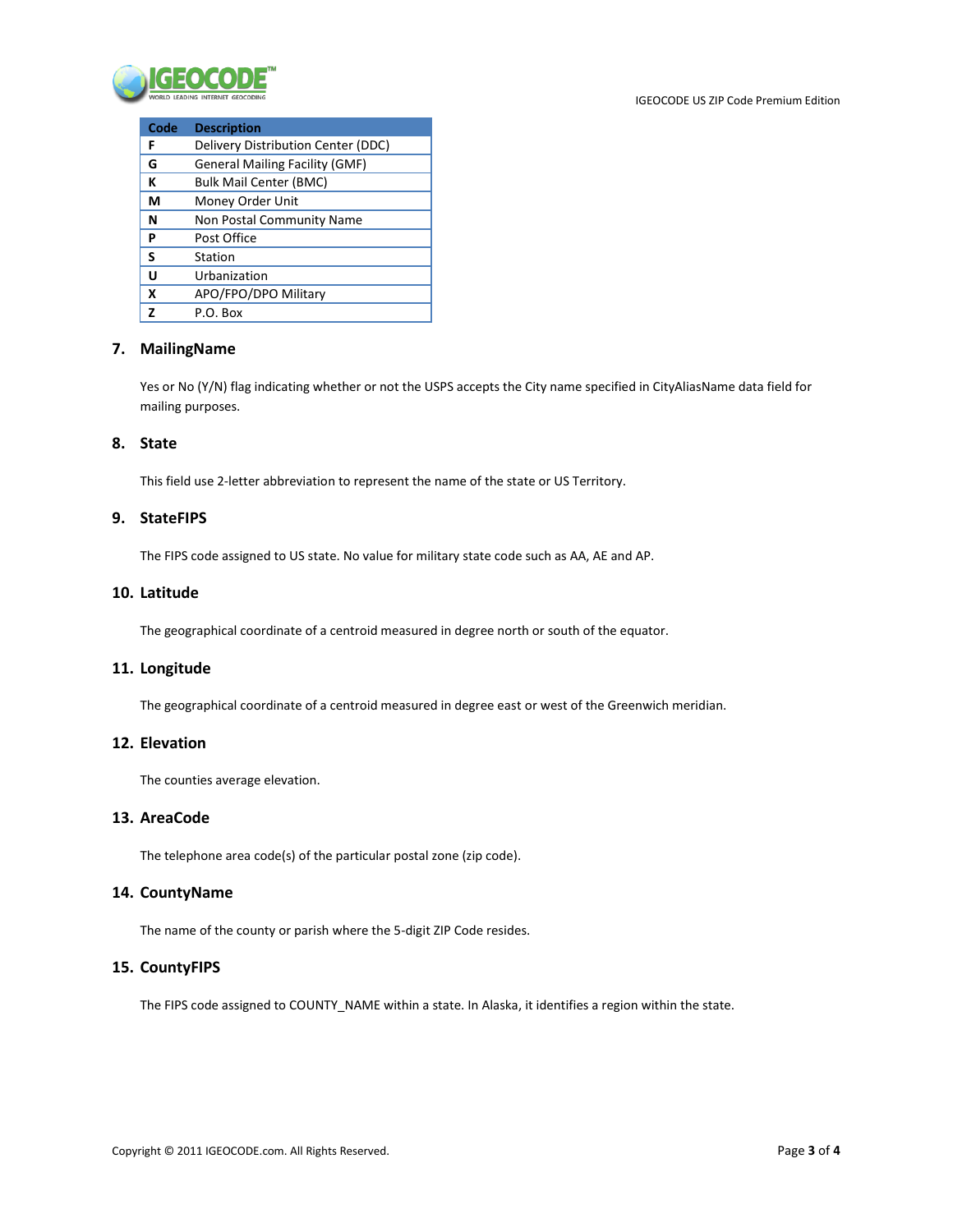

| Code | <b>Description</b>                    |  |
|------|---------------------------------------|--|
| F    | Delivery Distribution Center (DDC)    |  |
| G    | <b>General Mailing Facility (GMF)</b> |  |
| К    | <b>Bulk Mail Center (BMC)</b>         |  |
| М    | Money Order Unit                      |  |
| N    | Non Postal Community Name             |  |
| P    | Post Office                           |  |
| S    | Station                               |  |
| U    | Urbanization                          |  |
| X    | APO/FPO/DPO Military                  |  |
| 7    | P.O. Box                              |  |

### **7. MailingName**

Yes or No (Y/N) flag indicating whether or not the USPS accepts the City name specified in CityAliasName data field for mailing purposes.

### **8. State**

This field use 2-letter abbreviation to represent the name of the state or US Territory.

## **9. StateFIPS**

The FIPS code assigned to US state. No value for military state code such as AA, AE and AP.

## **10. Latitude**

The geographical coordinate of a centroid measured in degree north or south of the equator.

## **11. Longitude**

The geographical coordinate of a centroid measured in degree east or west of the Greenwich meridian.

#### **12. Elevation**

The counties average elevation.

#### **13. AreaCode**

The telephone area code(s) of the particular postal zone (zip code).

#### **14. CountyName**

The name of the county or parish where the 5-digit ZIP Code resides.

## **15. CountyFIPS**

The FIPS code assigned to COUNTY\_NAME within a state. In Alaska, it identifies a region within the state.